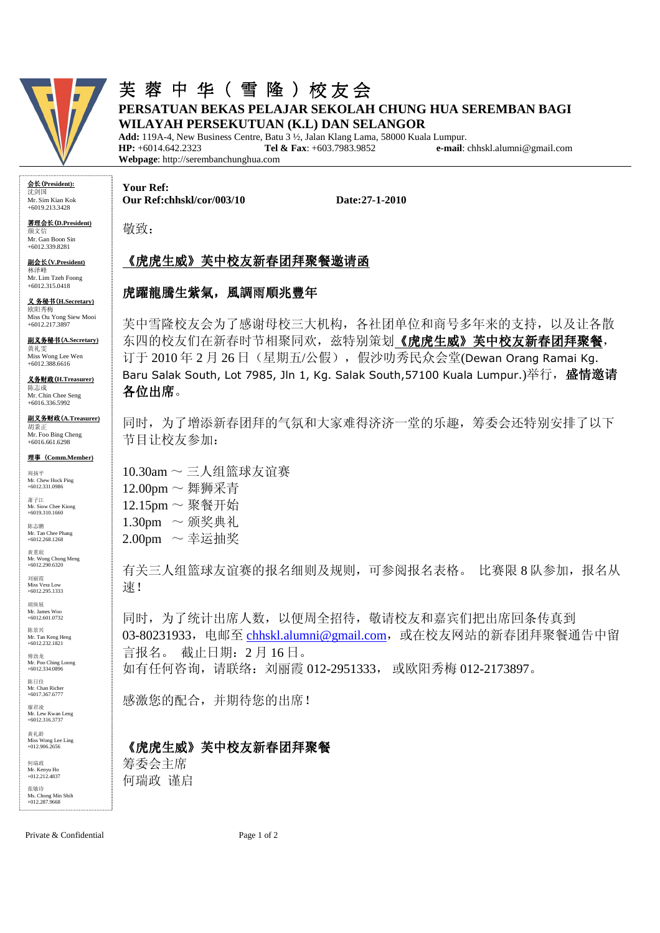

## 芙蓉中 华(雪隆)校友会 **PERSATUAN BEKAS PELAJAR SEKOLAH CHUNG HUA SEREMBAN BAGI WILAYAH PERSEKUTUAN (K.L) DAN SELANGOR**

**Add:** 119A-4, New Business Centre, Batu 3 ½, Jalan Klang Lama, 58000 Kuala Lumpur. **HP:** +6014.642.2323 **Tel & Fax**: +603.7983.9852 **e-mail**: chhskl.alumni@gmail.com **Webpage**: http://serembanchunghua.com

会长(**President):** 沈剑国 Mr. Sim Kian Kok +6019.213.3428

署理会长(**D.President)** 

颜文信 Mr. Gan Boon Sin +6012.339.8281

副会长(**V.President)**  林泽峰 Mr. Lim Tzeh Foong +6012.315.0418

义 务秘书(**H.Secretary)**  欧阳秀梅 Miss Ou Yong Siew Mooi +6012.217.3897

副义务秘书(**A.Secretary)** 黄礼雯 Miss Wong Lee Wen +6012.388.6616

义务财政(**H.Treasurer)** 陈志成 Mr. Chin Chee Seng

+6016.336.5992 副义务财政(**A.Treasurer)** 胡秉正

Mr. Foo Bing Cheng +6016.661.6298

#### 理事(**Comm.Member)**

周扬平 Mr. Chew Hock Ping +6012.331.0986

萧子江 Mr. Siow Chee Kiong +6019.310.1660 陈志鹏

Mr. Tan Chee Phang +6012.268.1268 黄重珉

Mr. Wong Chong Meng +6012.290.6320

刘丽霞 Miss Vera Low +6012.295.1333

胡纵展 **Mr. James Woo**  $+6012.601.0732$ 

陈景兴 Mr. Tan Keng Heng +6012.232.1821

傅劲龙 Mr. Poo Ching Loong +6012.334.0896

陈日佳 Mr. Chan Richer +6017.367.6777

廖君凌

Mr. Lew Kwan Leng +6012.316.3737 黄礼龄

Miss Wong Lee Ling +012.906.2656

何瑞政 Mr. Kenyu Ho  $+012.212.4837$ 张敏诗 Ms. Chong Min Shih +012.287.9668 **Your Ref: Our Ref:chhskl/cor/003/10 Date:27-1-2010** 

敬致:

# 《虎虎生威》芙中校友新春团拜聚餐邀请函

#### 虎躍龍騰生紫氣,風調雨順兆豐年

芙中雪隆校友会为了感谢母校三大机构,各社团单位和商号多年来的支持,以及让各散 东四的校友们在新春时节相聚同欢,兹特别策划《虎虎生威》芙中校友新春团拜聚餐, 订于 2010 年 2 月 26 日(星期五/公假),假沙叻秀民众会堂(Dewan Orang Ramai Kg. Baru Salak South, Lot 7985, Jln 1, Kg. Salak South, 57100 Kuala Lumpur.)举行,盛情邀请 各位出席。

同时,为了增添新春团拜的气氛和大家难得济济一堂的乐趣,筹委会还特别安排了以下 节目让校友参加:

 $10.30$ am  $\sim$  三人组篮球友谊赛 12.00pm ~ 舞狮采青  $12.15$ pm ~ 聚餐开始  $1.30$ pm ~ 颁奖典礼  $2.00$ pm ~ 幸运抽奖

有关三人组篮球友谊赛的报名细则及规则,可参阅报名表格。比赛限 8 队参加, 报名从 速!

同时,为了统计出席人数,以便周全招待,敬请校友和嘉宾们把出席回条传真到 03-80231933, 电邮至 chhskl.alumni@gmail.com, 或在校友网站的新春团拜聚餐通告中留 言报名。 截止日期:2 月 16 日。 如有任何咨询,请联络:刘丽霞 012-2951333, 或欧阳秀梅 012-2173897。

感激您的配合,并期待您的出席!

### 《虎虎生威》芙中校友新春团拜聚餐

筹委会主席 何瑞政 谨启

Private & Confidential Page 1 of 2